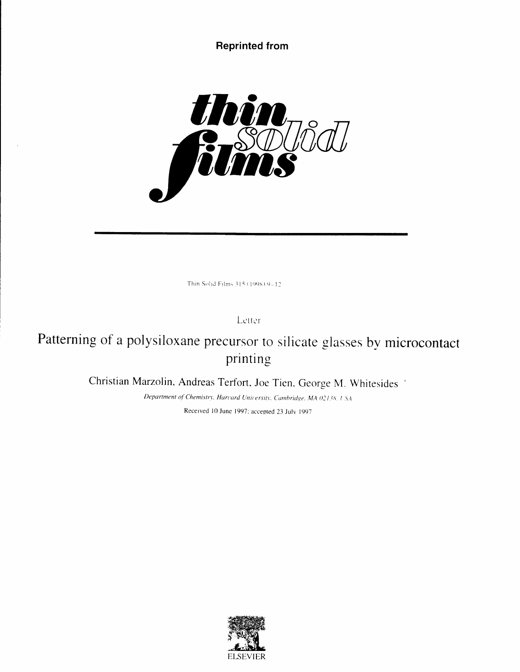# Reprinted from



Thin Solid Films 315 (1998) 9-12

Lcttcr

Patterning of a polysiloxane precursor to silicate glasses by microcontact printing

Christian Marzolin, Andreas Terfort, Joe Tien. George M. Whitesides '

Department of Chemistry. Harvard University, Cambridge, MA 02138, USA Received l0 June 1997: accepted 23 Julv 1997

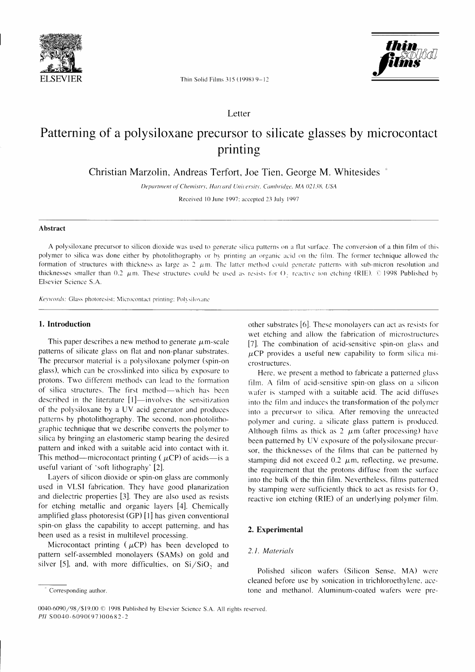



Thin Solid Films 315 (1998) 9-12

Letter

# Patterning of a polysiloxane precursor to silicate glasses by microcontact printing

Christian Marzolin, Andreas Terfort, Joe Tien, George M. Whitesides

Department of Chemistry, Harvard University, Cambridge, MA 02138, USA

Received 10 June 1997; accepted 23 July 1997

#### Abstract

A polysiloxane precursor to silicon dioxide was used to generate silica patterns on a flat surface. The conversion of a thin film of this polymer to silica was done either by photolithography or by printing an organic acid on the film. The former technique allowed the formation of structures with thickness as large as  $2 \mu m$ . The latter method could generate patterns with sub-micron resolution and thicknesses smaller than 0.2  $\mu$ m. These structures could be used as resists for O<sub>2</sub> reactive ion etching (RIE). © 1998 Published by Elsevier Science S.A.

Keywords: Glass photoresist: Microcontact printing; Polysiloxane

## 1. Introduction

This paper describes a new method to generate  $\mu$ m-scale patterns of silicate glass on flat and non-planar substrates. The precursor material is a polysiloxane polymer (spin-on glass), which can be crosslinked into silica by exposure to protons. Two different methods can lead to the formation of silica structures. The first method—which has been described in the literature [1]—involves the sensitization of the polysiloxane by a UV acid generator and produces patterns by photolithography. The second, non-photolithographic technique that we describe converts the polymer to silica by bringing an elastomeric stamp bearing the desired pattern and inked with a suitable acid into contact with it. This method—microcontact printing ( $\mu CP$ ) of acids—is a useful variant of 'soft lithography' [2].

Layers of silicon dioxide or spin-on glass are commonly used in VLSI fabrication. They have good planarization and dielectric properties [3]. They are also used as resists for etching metallic and organic layers [4]. Chemically amplified glass photoresist (GP) [1] has given conventional spin-on glass the capability to accept patterning, and has been used as a resist in multilevel processing.

Microcontact printing ( $\mu CP$ ) has been developed to pattern self-assembled monolayers (SAMs) on gold and silver [5], and, with more difficulties, on Si/SiO, and other substrates [6]. These monolayers can act as resists for wet etching and allow the fabrication of microstructures [7]. The combination of acid-sensitive spin-on glass and  $\mu$ CP provides a useful new capability to form silica microstructures.

Here, we present a method to fabricate a patterned glass film. A film of acid-sensitive spin-on glass on a silicon wafer is stamped with a suitable acid. The acid diffuses into the film and induces the transformation of the polymer into a precursor to silica. After removing the unreacted polymer and curing, a silicate glass pattern is produced. Although films as thick as  $2 \mu m$  (after processing) have been patterned by UV exposure of the polysiloxane precursor, the thicknesses of the films that can be patterned by stamping did not exceed 0.2  $\mu$ m, reflecting, we presume, the requirement that the protons diffuse from the surface into the bulk of the thin film. Nevertheless, films patterned by stamping were sufficiently thick to act as resists for O, reactive ion etching (RIE) of an underlying polymer film.

# 2. Experimental

# 2.1. Materials

Polished silicon wafers (Silicon Sense, MA) were cleaned before use by sonication in trichloroethylene, acetone and methanol. Aluminum-coated wafers were pre-

Corresponding author.

<sup>0040-6090/98/\$19.00 © 1998</sup> Published by Elsevier Science S.A. All rights reserved PII S0040-6090(97)00682-2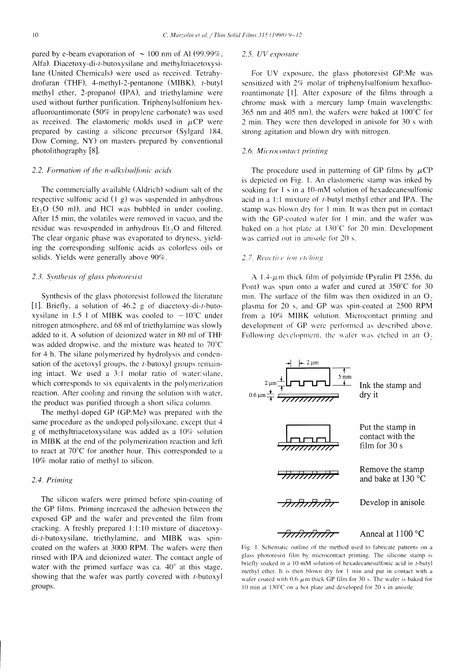pared by e-beam evaporation of  $\sim 100$  nm of Al (99.99%, Alfa). Diacetoxy-di-r-butoxysilane and methyltriacetoxysilane (United Chemicals) were used as received. Tetrahydrofuran (THF). 4-methyl-2-pentanone (MIBK). r-butyl methyl ether, 2-propanol (lPA). and triethylamine were used without further purification. Triphenylsulfonium hexafluoroantimonate  $(50\%$  in propylene carbonate) was used as received. The elastomeric molds used in  $\mu$ CP were prepared by casting a silicone precursor (Sylgard 184. Dow Corning, NY) on masters prepared by conventional photolithography [8].

#### $2.2.$  Formation of the n-alkylsulfonic acids

The commercially available (Aldrich) sodium salt of the respective sulfonic acid  $(1 \text{ g})$  was suspended in anhydrous  $Et<sub>2</sub>O$  (50 ml), and HCl was bubbled in under cooling. After l5 min, the volatiles were removed in vacuo. and the residue was resuspended in anhydrous  $Et<sub>2</sub>O$  and filtered. The clear organic phase was evaporated to dryness. yielding the corresponding sulfonic acids as colorless oils or solids. Yields were generally above 90%.

#### 2.3. Synthesis of glass photoresist

Synthesis of the glass photoresist followed the literature [1]. Briefly, a solution of  $46.2$  g of diacetoxy-di-t-butoxysilane in 1.5 l of MIBK was cooled to  $-10^{\circ}$ C under nitrogen atmosphere. and 68 ml of triethylamine was slowly added to it. A solution of deionized water in 80 ml of THF was added dropwise. and the mixture was heated to 70'C for 4 h. The silane polymerized by hydrolysis and condensation of the acetoxyl groups, the  $t$ -butoxyl groups remaining intact. We used a  $3:1$  molar ratio of water: silane. which corresponds to six equivalents in the polymerization reaction. After cooling and rinsing the solution with water. the product was purified through a short silica column.

The methyl-doped GP (GP:Me) was prepared with the same procedure as the undoped polysiloxane. except that 4 g of methyltriacetoxysilane was added as a l0%. solution in MIBK at the end of the polymerization reaction and lefi to react at 70'C for another hour. This corresponded to a 10% molar ratio of methyl to silicon.

#### 2.4. Priming

The silicon wafers were primed before spin-coating of the GP films. Priming increased the adhesion between the exposed GP and the wafer and prevented the film from cracking. A freshly prepared 1:1:10 mixture of diacetoxydi-r-butoxysilane, triethylamine, and MIBK was spincoated on the wafers at 3000 RPM. The wafers were then rinsed with IPA and deionized water. The contact angle of water with the primed surface was ca.  $40^{\circ}$  at this stage, showing that the wafer was partly covered with r-butoxyl groups.

#### 2.5. UV exposure

For UV exposure. the glass photoresist CP:Me was sensitized with  $2\%$  molar of triphenylsulfonium hexafluoroantimonatc Il]. Rfier exposure of the films through a chromc mask with a mercury lamp (main wavelengths: 365 nm and 405 nm), the wafers were baked at  $100^{\circ}$ C for 2 min. They werc then developed in anisole for 30 s with strong agitation and blown dry with nitrogen.

#### 2.6. Microcontact printing

The procedure used in patterning of GP films by  $\mu$ CP is depicted on Fig. l. An elastomeric stamp was inked by soaking for  $1 \sin a 10$ -mM solution of hexadecanesulfonic acid in a l:l mixture of t-butyl methyl ether and IPA. The stamp was blown dry for I min. It was then put in contact with the GP-coated wafer for 1 min, and the wafer was baked on a hot plate at 130°C for 20 min. Development was carried out in anisole for 20 s.

#### 2.7. Reactive ion etching

A 1.4- $\mu$ m thick film of polyimide (Pyralin PI 2556, du Pont) was spun onto a wafer and cured at  $350^{\circ}$ C for 30 min. The surface of thc fllm was then oxidized in an O. plasma for 20 s. and GP was spin-coated at 2500 RPM from a  $10\%$  MIBK solution. Microcontact printing and development of GP were performed as described above. Following development, the wafer was etched in an O.



Fig. 1. Schematic outline of the method used to fabricate patterns on a glass photoresist film by microcontact printing. The silicone stamp is briefly soaked in a  $10 \text{ mM}$  solution of hexadecanesulfonic acid in t-butyl methyl ether. It is then blown dry for 1 min and put in contact with a wafer coated with  $0.6$ - $\mu$ m thick GP film for 30 s. The wafer is baked for 10 min at  $130^{\circ}$ C on a hot plate and developed for 20 s in anisole.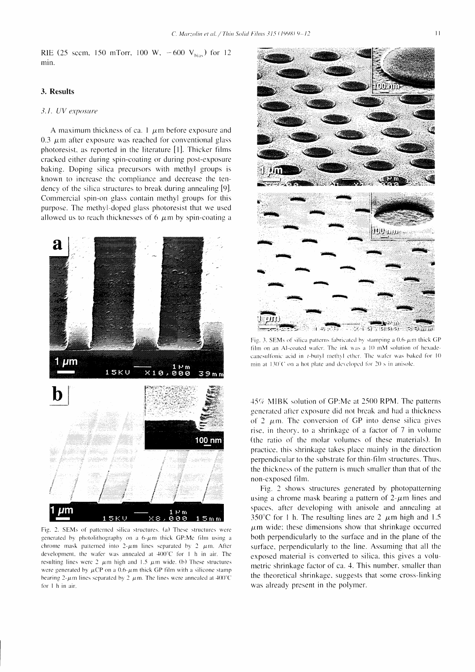RIE (25 sccm, 150 mTorr, 100 W,  $-600$  V<sub>bias</sub>) for 12 min.

# 3. Results

# 3.1. UV exposure

A maximum thickness of ca. 1  $\mu$ m before exposure and 0.3  $\mu$ m after exposure was reached for conventional glass photoresist, as reported in the literature [1]. Thicker films cracked either during spin-coating or during post-exposure baking. Doping silica precursors with methyl groups is known to increase the compliance and decrease the tendency of the silica structures to break during annealing [9]. Commercial spin-on glass contain methyl groups for this purpose. The methyl-doped glass photoresist that we used allowed us to reach thicknesses of 6  $\mu$ m by spin-coating a



Fig. 2. SEMs of patterned silica structures. (a) These structures were generated by photolithography on a  $6-\mu m$  thick GP:Me film using a chrome mask patterned into  $2-\mu m$  lines separated by 2  $\mu m$ . After development, the wafer was annealed at 400°C for 1 h in air. The resulting lines were 2  $\mu$ m high and 1.5  $\mu$ m wide. (b) These structures were generated by  $\mu CP$  on a 0.6- $\mu$ m thick GP film with a silicone stamp bearing 2- $\mu$ m lines separated by 2  $\mu$ m. The lines were annealed at 400°C for 1 h in air.



Fig. 3. SEMs of silica patterns fabricated by stamping a  $0.6$ - $\mu$ m thick GP film on an Al-coated wafer. The ink was a 10 mM solution of hexadecanesulfonic acid in t-butyl methyl ether. The wafer was baked for 10 min at 130°C on a hot plate and developed for 20 s in anisole.

45% MIBK solution of GP:Me at 2500 RPM. The patterns generated after exposure did not break and had a thickness of 2  $\mu$ m. The conversion of GP into dense silica gives rise, in theory, to a shrinkage of a factor of 7 in volume (the ratio of the molar volumes of these materials). In practice, this shrinkage takes place mainly in the direction perpendicular to the substrate for thin-film structures. Thus, the thickness of the pattern is much smaller than that of the non-exposed film.

Fig. 2 shows structures generated by photopatterning using a chrome mask bearing a pattern of  $2-\mu m$  lines and spaces, after developing with anisole and annealing at 350°C for 1 h. The resulting lines are 2  $\mu$ m high and 1.5  $\mu$ m wide; these dimensions show that shrinkage occurred both perpendicularly to the surface and in the plane of the surface, perpendicularly to the line. Assuming that all the exposed material is converted to silica, this gives a volumetric shrinkage factor of ca. 4. This number, smaller than the theoretical shrinkage, suggests that some cross-linking was already present in the polymer.